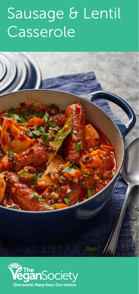## Sausage & Lentil Casserole